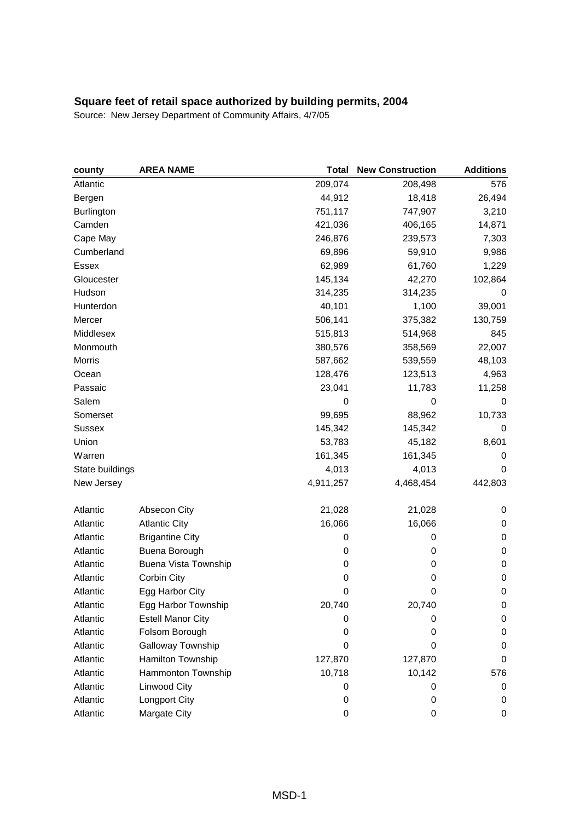| county          | <b>AREA NAME</b>         | Total       | <b>New Construction</b> | <b>Additions</b> |
|-----------------|--------------------------|-------------|-------------------------|------------------|
| Atlantic        |                          | 209,074     | 208,498                 | 576              |
| Bergen          |                          | 44,912      | 18,418                  | 26,494           |
| Burlington      |                          | 751,117     | 747,907                 | 3,210            |
| Camden          |                          | 421,036     | 406,165                 | 14,871           |
| Cape May        |                          | 246,876     | 239,573                 | 7,303            |
| Cumberland      |                          | 69,896      | 59,910                  | 9,986            |
| <b>Essex</b>    |                          | 62,989      | 61,760                  | 1,229            |
| Gloucester      |                          | 145,134     | 42,270                  | 102,864          |
| Hudson          |                          | 314,235     | 314,235                 | 0                |
| Hunterdon       |                          | 40,101      | 1,100                   | 39,001           |
| Mercer          |                          | 506,141     | 375,382                 | 130,759          |
| Middlesex       |                          | 515,813     | 514,968                 | 845              |
| Monmouth        |                          | 380,576     | 358,569                 | 22,007           |
| Morris          |                          | 587,662     | 539,559                 | 48,103           |
| Ocean           |                          | 128,476     | 123,513                 | 4,963            |
| Passaic         |                          | 23,041      | 11,783                  | 11,258           |
| Salem           |                          | $\mathbf 0$ | 0                       | 0                |
| Somerset        |                          | 99,695      | 88,962                  | 10,733           |
| Sussex          |                          | 145,342     | 145,342                 | 0                |
| Union           |                          | 53,783      | 45,182                  | 8,601            |
| Warren          |                          | 161,345     | 161,345                 | 0                |
| State buildings |                          | 4,013       | 4,013                   | $\mathbf 0$      |
| New Jersey      |                          | 4,911,257   | 4,468,454               | 442,803          |
| Atlantic        | Absecon City             | 21,028      | 21,028                  | 0                |
| Atlantic        | <b>Atlantic City</b>     | 16,066      | 16,066                  | $\pmb{0}$        |
| Atlantic        | <b>Brigantine City</b>   | 0           | 0                       | $\mathbf 0$      |
| Atlantic        | Buena Borough            | 0           | 0                       | $\pmb{0}$        |
| Atlantic        | Buena Vista Township     | 0           | 0                       | $\mathbf 0$      |
| Atlantic        | Corbin City              | 0           | 0                       | $\mathbf 0$      |
| Atlantic        | Egg Harbor City          | 0           | 0                       | $\boldsymbol{0}$ |
| Atlantic        | Egg Harbor Township      | 20,740      | 20,740                  | 0                |
| Atlantic        | <b>Estell Manor City</b> | 0           | 0                       | 0                |
| Atlantic        | Folsom Borough           | 0           | 0                       | 0                |
| Atlantic        | Galloway Township        | 0           | 0                       | 0                |
| Atlantic        | Hamilton Township        | 127,870     | 127,870                 | 0                |
| Atlantic        | Hammonton Township       | 10,718      | 10,142                  | 576              |
| Atlantic        | Linwood City             | 0           | 0                       | 0                |
| Atlantic        | Longport City            | 0           | 0                       | 0                |
| Atlantic        | Margate City             | 0           | 0                       | 0                |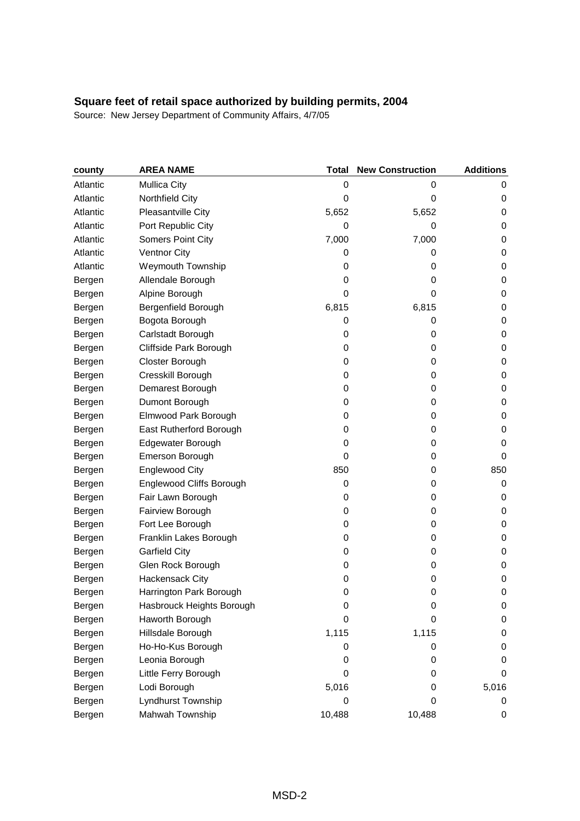| county   | <b>AREA NAME</b>          | Total  | <b>New Construction</b> | <b>Additions</b> |
|----------|---------------------------|--------|-------------------------|------------------|
| Atlantic | <b>Mullica City</b>       | 0      | 0                       | 0                |
| Atlantic | Northfield City           | 0      | 0                       | 0                |
| Atlantic | Pleasantville City        | 5,652  | 5,652                   | 0                |
| Atlantic | Port Republic City        | 0      | 0                       | 0                |
| Atlantic | <b>Somers Point City</b>  | 7,000  | 7,000                   | 0                |
| Atlantic | <b>Ventnor City</b>       | 0      | 0                       | 0                |
| Atlantic | <b>Weymouth Township</b>  | 0      | 0                       | 0                |
| Bergen   | Allendale Borough         | 0      | 0                       | 0                |
| Bergen   | Alpine Borough            | 0      | 0                       | 0                |
| Bergen   | Bergenfield Borough       | 6,815  | 6,815                   | 0                |
| Bergen   | Bogota Borough            | 0      | 0                       | 0                |
| Bergen   | Carlstadt Borough         | 0      | 0                       | 0                |
| Bergen   | Cliffside Park Borough    | 0      | 0                       | $\pmb{0}$        |
| Bergen   | Closter Borough           | 0      | 0                       | 0                |
| Bergen   | Cresskill Borough         | 0      | 0                       | 0                |
| Bergen   | Demarest Borough          | 0      | 0                       | 0                |
| Bergen   | Dumont Borough            | 0      | 0                       | 0                |
| Bergen   | Elmwood Park Borough      | 0      | 0                       | 0                |
| Bergen   | East Rutherford Borough   | 0      | 0                       | 0                |
| Bergen   | Edgewater Borough         | 0      | 0                       | 0                |
| Bergen   | Emerson Borough           | 0      | 0                       | 0                |
| Bergen   | <b>Englewood City</b>     | 850    | 0                       | 850              |
| Bergen   | Englewood Cliffs Borough  | 0      | 0                       | 0                |
| Bergen   | Fair Lawn Borough         | 0      | 0                       | 0                |
| Bergen   | Fairview Borough          | 0      | 0                       | 0                |
| Bergen   | Fort Lee Borough          | 0      | 0                       | 0                |
| Bergen   | Franklin Lakes Borough    | 0      | 0                       | 0                |
| Bergen   | <b>Garfield City</b>      | 0      | 0                       | 0                |
| Bergen   | Glen Rock Borough         | 0      | 0                       | 0                |
| Bergen   | <b>Hackensack City</b>    | 0      | 0                       | 0                |
| Bergen   | Harrington Park Borough   | 0      | 0                       | 0                |
| Bergen   | Hasbrouck Heights Borough | 0      | 0                       | 0                |
| Bergen   | Haworth Borough           | 0      | 0                       | 0                |
| Bergen   | Hillsdale Borough         | 1,115  | 1,115                   | 0                |
| Bergen   | Ho-Ho-Kus Borough         | 0      | 0                       | $\mathbf 0$      |
| Bergen   | Leonia Borough            | 0      | 0                       | 0                |
| Bergen   | Little Ferry Borough      | 0      | 0                       | 0                |
| Bergen   | Lodi Borough              | 5,016  | 0                       | 5,016            |
| Bergen   | Lyndhurst Township        | 0      | 0                       | 0                |
| Bergen   | Mahwah Township           | 10,488 | 10,488                  | 0                |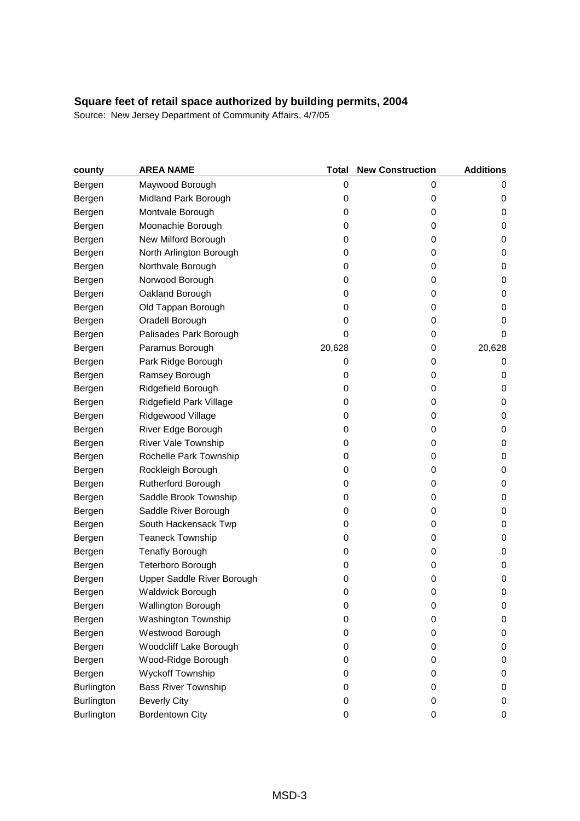| county     | <b>AREA NAME</b>           | <b>Total</b> | <b>New Construction</b> | <b>Additions</b> |
|------------|----------------------------|--------------|-------------------------|------------------|
| Bergen     | Maywood Borough            | 0            | 0                       | 0                |
| Bergen     | Midland Park Borough       | 0            | 0                       | 0                |
| Bergen     | Montvale Borough           | 0            | 0                       | 0                |
| Bergen     | Moonachie Borough          | 0            | 0                       | 0                |
| Bergen     | New Milford Borough        | 0            | 0                       | 0                |
| Bergen     | North Arlington Borough    | 0            | 0                       | 0                |
| Bergen     | Northvale Borough          | 0            | 0                       | 0                |
| Bergen     | Norwood Borough            | 0            | 0                       | 0                |
| Bergen     | Oakland Borough            | 0            | 0                       | 0                |
| Bergen     | Old Tappan Borough         | 0            | 0                       | 0                |
| Bergen     | Oradell Borough            | 0            | 0                       | 0                |
| Bergen     | Palisades Park Borough     | 0            | 0                       | 0                |
| Bergen     | Paramus Borough            | 20,628       | 0                       | 20,628           |
| Bergen     | Park Ridge Borough         | 0            | 0                       | 0                |
| Bergen     | Ramsey Borough             | 0            | 0                       | 0                |
| Bergen     | Ridgefield Borough         | 0            | 0                       | 0                |
| Bergen     | Ridgefield Park Village    | 0            | 0                       | 0                |
| Bergen     | Ridgewood Village          | 0            | 0                       | 0                |
| Bergen     | River Edge Borough         | 0            | 0                       | 0                |
| Bergen     | River Vale Township        | 0            | 0                       | 0                |
| Bergen     | Rochelle Park Township     | 0            | 0                       | 0                |
| Bergen     | Rockleigh Borough          | 0            | 0                       | 0                |
| Bergen     | Rutherford Borough         | 0            | 0                       | 0                |
| Bergen     | Saddle Brook Township      | 0            | 0                       | 0                |
| Bergen     | Saddle River Borough       | 0            | 0                       | 0                |
| Bergen     | South Hackensack Twp       | 0            | 0                       | 0                |
| Bergen     | <b>Teaneck Township</b>    | 0            | 0                       | 0                |
| Bergen     | <b>Tenafly Borough</b>     | 0            | 0                       | 0                |
| Bergen     | Teterboro Borough          | 0            | 0                       | 0                |
| Bergen     | Upper Saddle River Borough | 0            | 0                       | 0                |
| Bergen     | <b>Waldwick Borough</b>    | 0            | 0                       | 0                |
| Bergen     | <b>Wallington Borough</b>  | 0            | 0                       | 0                |
| Bergen     | Washington Township        | 0            | 0                       | 0                |
| Bergen     | Westwood Borough           | 0            | 0                       | 0                |
| Bergen     | Woodcliff Lake Borough     | 0            | 0                       | 0                |
| Bergen     | Wood-Ridge Borough         | 0            | 0                       | 0                |
| Bergen     | Wyckoff Township           | 0            | 0                       | 0                |
| Burlington | <b>Bass River Township</b> | 0            | 0                       | 0                |
| Burlington | <b>Beverly City</b>        | 0            | 0                       | 0                |
| Burlington | <b>Bordentown City</b>     | 0            | 0                       | 0                |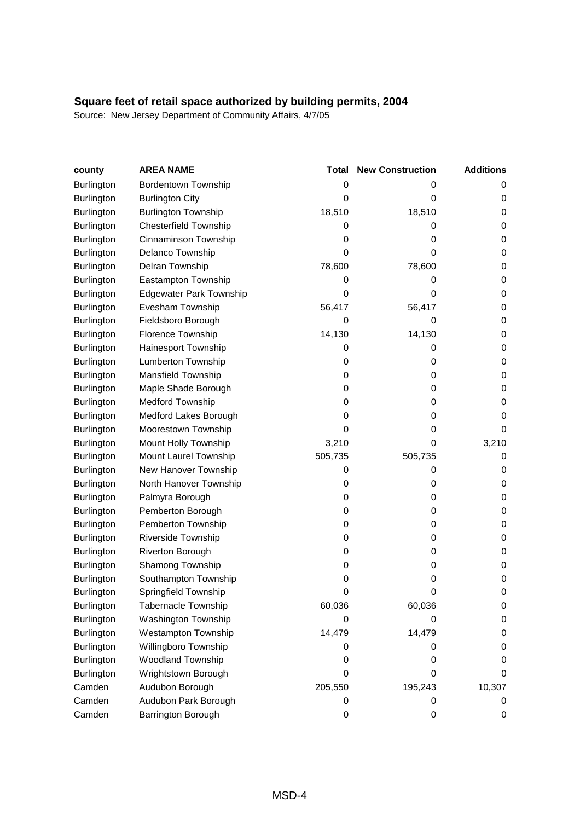| county            | <b>AREA NAME</b>               | Total       | <b>New Construction</b> | <b>Additions</b> |
|-------------------|--------------------------------|-------------|-------------------------|------------------|
| Burlington        | <b>Bordentown Township</b>     | 0           | 0                       | 0                |
| <b>Burlington</b> | <b>Burlington City</b>         | $\mathbf 0$ | 0                       | 0                |
| Burlington        | <b>Burlington Township</b>     | 18,510      | 18,510                  | 0                |
| <b>Burlington</b> | <b>Chesterfield Township</b>   | 0           | 0                       | 0                |
| <b>Burlington</b> | Cinnaminson Township           | 0           | 0                       | 0                |
| <b>Burlington</b> | Delanco Township               | 0           | 0                       | 0                |
| <b>Burlington</b> | Delran Township                | 78,600      | 78,600                  | 0                |
| Burlington        | Eastampton Township            | 0           | 0                       | $\pmb{0}$        |
| <b>Burlington</b> | <b>Edgewater Park Township</b> | $\mathbf 0$ | 0                       | 0                |
| <b>Burlington</b> | Evesham Township               | 56,417      | 56,417                  | 0                |
| Burlington        | Fieldsboro Borough             | 0           | 0                       | 0                |
| <b>Burlington</b> | Florence Township              | 14,130      | 14,130                  | 0                |
| <b>Burlington</b> | Hainesport Township            | 0           | 0                       | 0                |
| Burlington        | Lumberton Township             | 0           | 0                       | $\pmb{0}$        |
| <b>Burlington</b> | Mansfield Township             | 0           | 0                       | 0                |
| <b>Burlington</b> | Maple Shade Borough            | 0           | 0                       | 0                |
| <b>Burlington</b> | Medford Township               | 0           | 0                       | 0                |
| <b>Burlington</b> | Medford Lakes Borough          | 0           | 0                       | 0                |
| Burlington        | Moorestown Township            | $\mathbf 0$ | 0                       | 0                |
| Burlington        | Mount Holly Township           | 3,210       | 0                       | 3,210            |
| <b>Burlington</b> | Mount Laurel Township          | 505,735     | 505,735                 | 0                |
| <b>Burlington</b> | New Hanover Township           | $\mathbf 0$ | 0                       | 0                |
| Burlington        | North Hanover Township         | 0           | 0                       | 0                |
| <b>Burlington</b> | Palmyra Borough                | 0           | 0                       | 0                |
| <b>Burlington</b> | Pemberton Borough              | 0           | 0                       | 0                |
| Burlington        | Pemberton Township             | 0           | 0                       | $\mathbf 0$      |
| Burlington        | Riverside Township             | 0           | 0                       | 0                |
| <b>Burlington</b> | Riverton Borough               | 0           | 0                       | 0                |
| <b>Burlington</b> | Shamong Township               | 0           | 0                       | $\mathbf 0$      |
| Burlington        | Southampton Township           | 0           | 0                       | 0                |
| <b>Burlington</b> | Springfield Township           | 0           | 0                       | 0                |
| <b>Burlington</b> | <b>Tabernacle Township</b>     | 60,036      | 60,036                  | 0                |
| Burlington        | Washington Township            | 0           | 0                       | 0                |
| <b>Burlington</b> | <b>Westampton Township</b>     | 14,479      | 14,479                  | 0                |
| Burlington        | Willingboro Township           | 0           | 0                       | 0                |
| Burlington        | <b>Woodland Township</b>       | 0           | 0                       | 0                |
| <b>Burlington</b> | Wrightstown Borough            | 0           | 0                       | 0                |
| Camden            | Audubon Borough                | 205,550     | 195,243                 | 10,307           |
| Camden            | Audubon Park Borough           | 0           | 0                       | 0                |
| Camden            | Barrington Borough             | 0           | 0                       | 0                |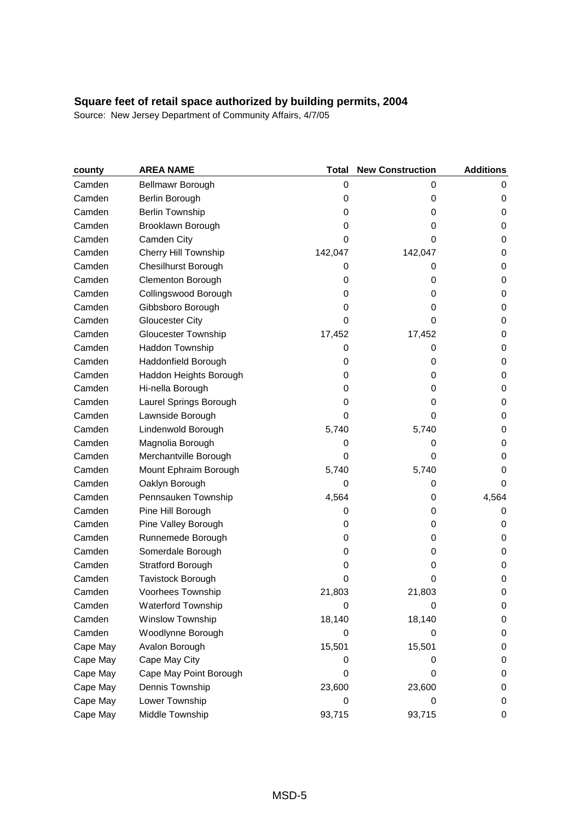| county   | <b>AREA NAME</b>           | Total       | <b>New Construction</b> | <b>Additions</b> |
|----------|----------------------------|-------------|-------------------------|------------------|
| Camden   | Bellmawr Borough           | 0           | 0                       | 0                |
| Camden   | Berlin Borough             | 0           | 0                       | 0                |
| Camden   | <b>Berlin Township</b>     | 0           | 0                       | 0                |
| Camden   | Brooklawn Borough          | 0           | 0                       | 0                |
| Camden   | Camden City                | 0           | 0                       | 0                |
| Camden   | Cherry Hill Township       | 142,047     | 142,047                 | 0                |
| Camden   | <b>Chesilhurst Borough</b> | 0           | 0                       | 0                |
| Camden   | <b>Clementon Borough</b>   | 0           | 0                       | 0                |
| Camden   | Collingswood Borough       | $\mathbf 0$ | 0                       | 0                |
| Camden   | Gibbsboro Borough          | 0           | 0                       | 0                |
| Camden   | <b>Gloucester City</b>     | 0           | 0                       | 0                |
| Camden   | Gloucester Township        | 17,452      | 17,452                  | 0                |
| Camden   | Haddon Township            | 0           | 0                       | 0                |
| Camden   | Haddonfield Borough        | 0           | 0                       | 0                |
| Camden   | Haddon Heights Borough     | 0           | 0                       | 0                |
| Camden   | Hi-nella Borough           | 0           | 0                       | 0                |
| Camden   | Laurel Springs Borough     | 0           | 0                       | 0                |
| Camden   | Lawnside Borough           | 0           | 0                       | 0                |
| Camden   | Lindenwold Borough         | 5,740       | 5,740                   | 0                |
| Camden   | Magnolia Borough           | 0           | 0                       | 0                |
| Camden   | Merchantville Borough      | 0           | 0                       | 0                |
| Camden   | Mount Ephraim Borough      | 5,740       | 5,740                   | 0                |
| Camden   | Oaklyn Borough             | 0           | 0                       | 0                |
| Camden   | Pennsauken Township        | 4,564       | 0                       | 4,564            |
| Camden   | Pine Hill Borough          | 0           | 0                       | 0                |
| Camden   | Pine Valley Borough        | 0           | 0                       | 0                |
| Camden   | Runnemede Borough          | 0           | 0                       | 0                |
| Camden   | Somerdale Borough          | 0           | 0                       | 0                |
| Camden   | <b>Stratford Borough</b>   | 0           | 0                       | 0                |
| Camden   | Tavistock Borough          | 0           | 0                       | 0                |
| Camden   | Voorhees Township          | 21,803      | 21,803                  | 0                |
| Camden   | Waterford Township         | 0           | 0                       | 0                |
| Camden   | Winslow Township           | 18,140      | 18,140                  | 0                |
| Camden   | Woodlynne Borough          | 0           | 0                       | 0                |
| Cape May | Avalon Borough             | 15,501      | 15,501                  | 0                |
| Cape May | Cape May City              | 0           | 0                       | 0                |
| Cape May | Cape May Point Borough     | 0           | 0                       | $\pmb{0}$        |
| Cape May | Dennis Township            | 23,600      | 23,600                  | 0                |
| Cape May | Lower Township             | 0           | 0                       | 0                |
| Cape May | Middle Township            | 93,715      | 93,715                  | 0                |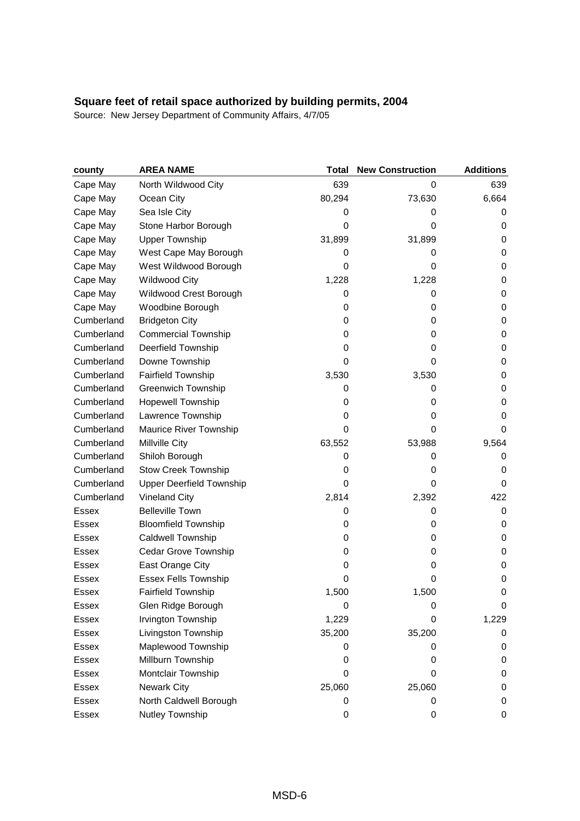| county       | <b>AREA NAME</b>                | Total  | <b>New Construction</b> | <b>Additions</b> |
|--------------|---------------------------------|--------|-------------------------|------------------|
| Cape May     | North Wildwood City             | 639    | 0                       | 639              |
| Cape May     | Ocean City                      | 80,294 | 73,630                  | 6,664            |
| Cape May     | Sea Isle City                   | 0      | 0                       | 0                |
| Cape May     | Stone Harbor Borough            | 0      | 0                       | 0                |
| Cape May     | <b>Upper Township</b>           | 31,899 | 31,899                  | 0                |
| Cape May     | West Cape May Borough           | 0      | 0                       | 0                |
| Cape May     | West Wildwood Borough           | 0      | 0                       | 0                |
| Cape May     | Wildwood City                   | 1,228  | 1,228                   | 0                |
| Cape May     | Wildwood Crest Borough          | 0      | 0                       | 0                |
| Cape May     | Woodbine Borough                | 0      | 0                       | 0                |
| Cumberland   | <b>Bridgeton City</b>           | 0      | 0                       | 0                |
| Cumberland   | <b>Commercial Township</b>      | 0      | 0                       | 0                |
| Cumberland   | Deerfield Township              | 0      | 0                       | 0                |
| Cumberland   | Downe Township                  | 0      | 0                       | 0                |
| Cumberland   | Fairfield Township              | 3,530  | 3,530                   | 0                |
| Cumberland   | <b>Greenwich Township</b>       | 0      | 0                       | 0                |
| Cumberland   | <b>Hopewell Township</b>        | 0      | 0                       | 0                |
| Cumberland   | Lawrence Township               | 0      | 0                       | 0                |
| Cumberland   | Maurice River Township          | 0      | 0                       | 0                |
| Cumberland   | Millville City                  | 63,552 | 53,988                  | 9,564            |
| Cumberland   | Shiloh Borough                  | 0      | 0                       | 0                |
| Cumberland   | <b>Stow Creek Township</b>      | 0      | 0                       | 0                |
| Cumberland   | <b>Upper Deerfield Township</b> | 0      | 0                       | 0                |
| Cumberland   | <b>Vineland City</b>            | 2,814  | 2,392                   | 422              |
| Essex        | <b>Belleville Town</b>          | 0      | 0                       | 0                |
| Essex        | <b>Bloomfield Township</b>      | 0      | 0                       | 0                |
| <b>Essex</b> | Caldwell Township               | 0      | 0                       | 0                |
| Essex        | Cedar Grove Township            | 0      | 0                       | 0                |
| Essex        | East Orange City                | 0      | 0                       | 0                |
| <b>Essex</b> | <b>Essex Fells Township</b>     | 0      | 0                       | 0                |
| Essex        | Fairfield Township              | 1,500  | 1,500                   | 0                |
| Essex        | Glen Ridge Borough              | 0      | 0                       | 0                |
| <b>Essex</b> | Irvington Township              | 1,229  | 0                       | 1,229            |
| <b>Essex</b> | Livingston Township             | 35,200 | 35,200                  | 0                |
| Essex        | Maplewood Township              | 0      | 0                       | 0                |
| <b>Essex</b> | Millburn Township               | 0      | 0                       | 0                |
| <b>Essex</b> | Montclair Township              | 0      | 0                       | 0                |
| <b>Essex</b> | <b>Newark City</b>              | 25,060 | 25,060                  | 0                |
| Essex        | North Caldwell Borough          | 0      | 0                       | 0                |
| Essex        | Nutley Township                 | 0      | 0                       | 0                |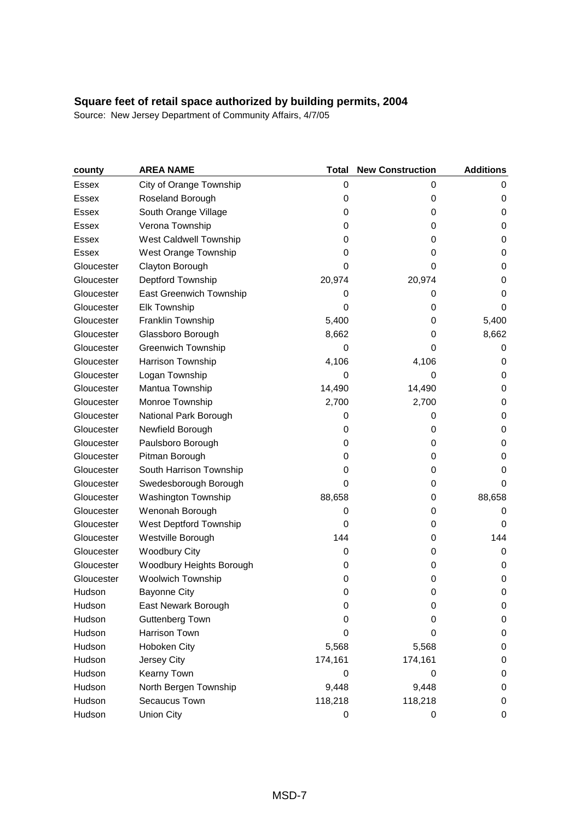| county       | <b>AREA NAME</b>          | <b>Total</b> | <b>New Construction</b> | <b>Additions</b> |
|--------------|---------------------------|--------------|-------------------------|------------------|
| Essex        | City of Orange Township   | $\mathbf 0$  | 0                       | 0                |
| Essex        | Roseland Borough          | 0            | 0                       | 0                |
| Essex        | South Orange Village      | 0            | 0                       | 0                |
| Essex        | Verona Township           | 0            | 0                       | 0                |
| Essex        | West Caldwell Township    | 0            | 0                       | 0                |
| <b>Essex</b> | West Orange Township      | 0            | 0                       | 0                |
| Gloucester   | Clayton Borough           | 0            | 0                       | 0                |
| Gloucester   | Deptford Township         | 20,974       | 20,974                  | 0                |
| Gloucester   | East Greenwich Township   | 0            | 0                       | 0                |
| Gloucester   | <b>Elk Township</b>       | 0            | 0                       | 0                |
| Gloucester   | Franklin Township         | 5,400        | 0                       | 5,400            |
| Gloucester   | Glassboro Borough         | 8,662        | 0                       | 8,662            |
| Gloucester   | <b>Greenwich Township</b> | 0            | 0                       | 0                |
| Gloucester   | Harrison Township         | 4,106        | 4,106                   | 0                |
| Gloucester   | Logan Township            | $\mathbf 0$  | 0                       | 0                |
| Gloucester   | Mantua Township           | 14,490       | 14,490                  | 0                |
| Gloucester   | Monroe Township           | 2,700        | 2,700                   | 0                |
| Gloucester   | National Park Borough     | 0            | 0                       | 0                |
| Gloucester   | Newfield Borough          | 0            | 0                       | 0                |
| Gloucester   | Paulsboro Borough         | 0            | 0                       | 0                |
| Gloucester   | Pitman Borough            | 0            | 0                       | 0                |
| Gloucester   | South Harrison Township   | 0            | 0                       | 0                |
| Gloucester   | Swedesborough Borough     | $\Omega$     | 0                       | 0                |
| Gloucester   | Washington Township       | 88,658       | 0                       | 88,658           |
| Gloucester   | Wenonah Borough           | 0            | 0                       | 0                |
| Gloucester   | West Deptford Township    | 0            | 0                       | 0                |
| Gloucester   | Westville Borough         | 144          | 0                       | 144              |
| Gloucester   | <b>Woodbury City</b>      | 0            | 0                       | 0                |
| Gloucester   | Woodbury Heights Borough  | 0            | 0                       | 0                |
| Gloucester   | Woolwich Township         | 0            | 0                       | 0                |
| Hudson       | <b>Bayonne City</b>       | 0            | 0                       | 0                |
| Hudson       | East Newark Borough       | 0            | 0                       | $\boldsymbol{0}$ |
| Hudson       | <b>Guttenberg Town</b>    | 0            | 0                       | 0                |
| Hudson       | Harrison Town             | 0            | 0                       | 0                |
| Hudson       | Hoboken City              | 5,568        | 5,568                   | 0                |
| Hudson       | Jersey City               | 174,161      | 174,161                 | 0                |
| Hudson       | Kearny Town               | 0            | 0                       | 0                |
| Hudson       | North Bergen Township     | 9,448        | 9,448                   | $\pmb{0}$        |
| Hudson       | Secaucus Town             | 118,218      | 118,218                 | 0                |
| Hudson       | <b>Union City</b>         | 0            | 0                       | 0                |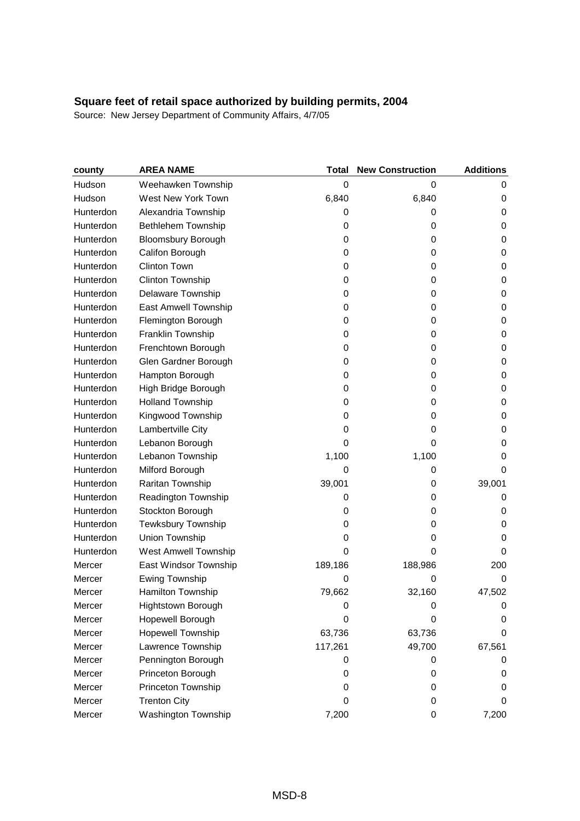| county    | <b>AREA NAME</b>            | <b>Total</b> | <b>New Construction</b> | <b>Additions</b> |
|-----------|-----------------------------|--------------|-------------------------|------------------|
| Hudson    | Weehawken Township          | $\mathbf 0$  | 0                       | 0                |
| Hudson    | West New York Town          | 6,840        | 6,840                   | 0                |
| Hunterdon | Alexandria Township         | 0            | 0                       | 0                |
| Hunterdon | <b>Bethlehem Township</b>   | 0            | 0                       | 0                |
| Hunterdon | <b>Bloomsbury Borough</b>   | 0            | 0                       | 0                |
| Hunterdon | Califon Borough             | 0            | 0                       | 0                |
| Hunterdon | <b>Clinton Town</b>         | 0            | 0                       | 0                |
| Hunterdon | Clinton Township            | 0            | 0                       | 0                |
| Hunterdon | Delaware Township           | 0            | 0                       | 0                |
| Hunterdon | East Amwell Township        | $\mathbf 0$  | 0                       | 0                |
| Hunterdon | Flemington Borough          | 0            | 0                       | 0                |
| Hunterdon | Franklin Township           | 0            | 0                       | 0                |
| Hunterdon | Frenchtown Borough          | $\mathbf 0$  | 0                       | 0                |
| Hunterdon | Glen Gardner Borough        | 0            | 0                       | $\mathbf 0$      |
| Hunterdon | Hampton Borough             | 0            | 0                       | 0                |
| Hunterdon | High Bridge Borough         | 0            | 0                       | 0                |
| Hunterdon | <b>Holland Township</b>     | 0            | 0                       | 0                |
| Hunterdon | Kingwood Township           | 0            | 0                       | 0                |
| Hunterdon | Lambertville City           | 0            | 0                       | 0                |
| Hunterdon | Lebanon Borough             | 0            | 0                       | 0                |
| Hunterdon | Lebanon Township            | 1,100        | 1,100                   | 0                |
| Hunterdon | Milford Borough             | 0            | 0                       | 0                |
| Hunterdon | Raritan Township            | 39,001       | 0                       | 39,001           |
| Hunterdon | Readington Township         | 0            | 0                       | 0                |
| Hunterdon | Stockton Borough            | 0            | 0                       | 0                |
| Hunterdon | Tewksbury Township          | 0            | 0                       | 0                |
| Hunterdon | Union Township              | 0            | 0                       | 0                |
| Hunterdon | <b>West Amwell Township</b> | 0            | 0                       | 0                |
| Mercer    | East Windsor Township       | 189,186      | 188,986                 | 200              |
| Mercer    | <b>Ewing Township</b>       | 0            | 0                       | 0                |
| Mercer    | Hamilton Township           | 79,662       | 32,160                  | 47,502           |
| Mercer    | Hightstown Borough          | 0            | 0                       | 0                |
| Mercer    | Hopewell Borough            | 0            | 0                       | 0                |
| Mercer    | <b>Hopewell Township</b>    | 63,736       | 63,736                  | 0                |
| Mercer    | Lawrence Township           | 117,261      | 49,700                  | 67,561           |
| Mercer    | Pennington Borough          | 0            | 0                       | 0                |
| Mercer    | Princeton Borough           | 0            | 0                       | 0                |
| Mercer    | Princeton Township          | 0            | 0                       | 0                |
| Mercer    | <b>Trenton City</b>         | 0            | 0                       | 0                |
| Mercer    | Washington Township         | 7,200        | 0                       | 7,200            |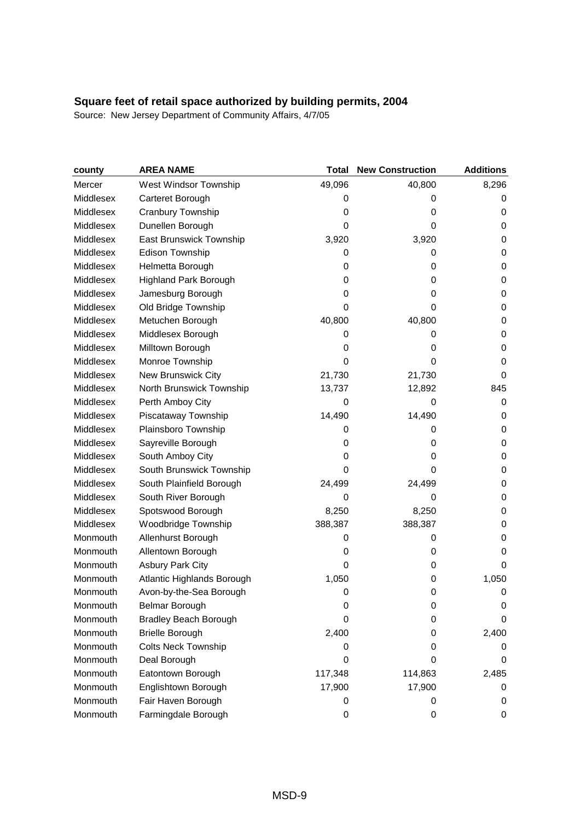| county    | <b>AREA NAME</b>             | <b>Total</b> | <b>New Construction</b> | <b>Additions</b> |
|-----------|------------------------------|--------------|-------------------------|------------------|
| Mercer    | West Windsor Township        | 49,096       | 40,800                  | 8,296            |
| Middlesex | Carteret Borough             | 0            | 0                       | 0                |
| Middlesex | Cranbury Township            | 0            | 0                       | 0                |
| Middlesex | Dunellen Borough             | 0            | 0                       | 0                |
| Middlesex | East Brunswick Township      | 3,920        | 3,920                   | 0                |
| Middlesex | Edison Township              | 0            | 0                       | 0                |
| Middlesex | Helmetta Borough             | 0            | 0                       | $\mathbf 0$      |
| Middlesex | <b>Highland Park Borough</b> | 0            | 0                       | 0                |
| Middlesex | Jamesburg Borough            | 0            | 0                       | 0                |
| Middlesex | Old Bridge Township          | 0            | 0                       | 0                |
| Middlesex | Metuchen Borough             | 40,800       | 40,800                  | 0                |
| Middlesex | Middlesex Borough            | 0            | 0                       | 0                |
| Middlesex | Milltown Borough             | 0            | 0                       | 0                |
| Middlesex | Monroe Township              | $\mathbf 0$  | 0                       | 0                |
| Middlesex | New Brunswick City           | 21,730       | 21,730                  | 0                |
| Middlesex | North Brunswick Township     | 13,737       | 12,892                  | 845              |
| Middlesex | Perth Amboy City             | $\mathbf 0$  | 0                       | 0                |
| Middlesex | Piscataway Township          | 14,490       | 14,490                  | 0                |
| Middlesex | Plainsboro Township          | 0            | 0                       | 0                |
| Middlesex | Sayreville Borough           | 0            | 0                       | $\mathbf 0$      |
| Middlesex | South Amboy City             | 0            | 0                       | 0                |
| Middlesex | South Brunswick Township     | 0            | 0                       | 0                |
| Middlesex | South Plainfield Borough     | 24,499       | 24,499                  | 0                |
| Middlesex | South River Borough          | $\mathbf 0$  | 0                       | 0                |
| Middlesex | Spotswood Borough            | 8,250        | 8,250                   | 0                |
| Middlesex | Woodbridge Township          | 388,387      | 388,387                 | 0                |
| Monmouth  | Allenhurst Borough           | 0            | 0                       | 0                |
| Monmouth  | Allentown Borough            | 0            | 0                       | 0                |
| Monmouth  | <b>Asbury Park City</b>      | 0            | 0                       | 0                |
| Monmouth  | Atlantic Highlands Borough   | 1,050        | 0                       | 1,050            |
| Monmouth  | Avon-by-the-Sea Borough      | 0            | 0                       | 0                |
| Monmouth  | <b>Belmar Borough</b>        | 0            | 0                       | 0                |
| Monmouth  | <b>Bradley Beach Borough</b> | 0            | 0                       | 0                |
| Monmouth  | <b>Brielle Borough</b>       | 2,400        | 0                       | 2,400            |
| Monmouth  | <b>Colts Neck Township</b>   | 0            | 0                       | 0                |
| Monmouth  | Deal Borough                 | 0            | 0                       | 0                |
| Monmouth  | Eatontown Borough            | 117,348      | 114,863                 | 2,485            |
| Monmouth  | Englishtown Borough          | 17,900       | 17,900                  | 0                |
| Monmouth  | Fair Haven Borough           | 0            | 0                       | 0                |
| Monmouth  | Farmingdale Borough          | 0            | 0                       | 0                |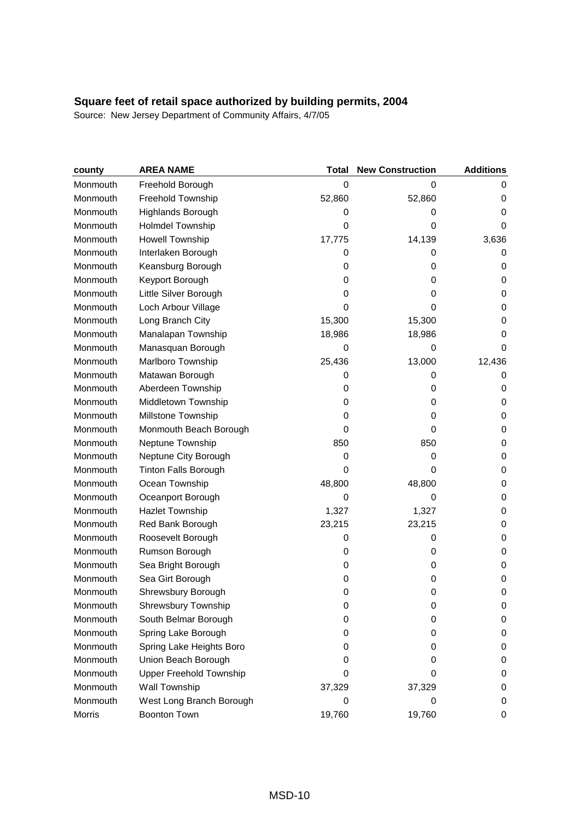| county   | <b>AREA NAME</b>               | Total       | <b>New Construction</b> | <b>Additions</b> |
|----------|--------------------------------|-------------|-------------------------|------------------|
| Monmouth | Freehold Borough               | $\mathbf 0$ | 0                       | 0                |
| Monmouth | Freehold Township              | 52,860      | 52,860                  | 0                |
| Monmouth | Highlands Borough              | 0           | 0                       | 0                |
| Monmouth | <b>Holmdel Township</b>        | 0           | 0                       | 0                |
| Monmouth | Howell Township                | 17,775      | 14,139                  | 3,636            |
| Monmouth | Interlaken Borough             | 0           | 0                       | 0                |
| Monmouth | Keansburg Borough              | 0           | 0                       | 0                |
| Monmouth | Keyport Borough                | 0           | 0                       | 0                |
| Monmouth | Little Silver Borough          | 0           | 0                       | 0                |
| Monmouth | Loch Arbour Village            | 0           | 0                       | 0                |
| Monmouth | Long Branch City               | 15,300      | 15,300                  | 0                |
| Monmouth | Manalapan Township             | 18,986      | 18,986                  | 0                |
| Monmouth | Manasquan Borough              | 0           | 0                       | 0                |
| Monmouth | Marlboro Township              | 25,436      | 13,000                  | 12,436           |
| Monmouth | Matawan Borough                | 0           | 0                       | 0                |
| Monmouth | Aberdeen Township              | 0           | 0                       | 0                |
| Monmouth | Middletown Township            | 0           | 0                       | 0                |
| Monmouth | Millstone Township             | 0           | 0                       | 0                |
| Monmouth | Monmouth Beach Borough         | 0           | 0                       | $\mathbf 0$      |
| Monmouth | Neptune Township               | 850         | 850                     | 0                |
| Monmouth | Neptune City Borough           | 0           | 0                       | 0                |
| Monmouth | <b>Tinton Falls Borough</b>    | 0           | 0                       | 0                |
| Monmouth | Ocean Township                 | 48,800      | 48,800                  | 0                |
| Monmouth | Oceanport Borough              | 0           | 0                       | 0                |
| Monmouth | <b>Hazlet Township</b>         | 1,327       | 1,327                   | 0                |
| Monmouth | Red Bank Borough               | 23,215      | 23,215                  | 0                |
| Monmouth | Roosevelt Borough              | 0           | 0                       | 0                |
| Monmouth | Rumson Borough                 | 0           | 0                       | 0                |
| Monmouth | Sea Bright Borough             | 0           | 0                       | 0                |
| Monmouth | Sea Girt Borough               | 0           | 0                       | 0                |
| Monmouth | Shrewsbury Borough             | $\mathbf 0$ | 0                       | 0                |
| Monmouth | Shrewsbury Township            | 0           | 0                       | 0                |
| Monmouth | South Belmar Borough           | 0           | 0                       | 0                |
| Monmouth | Spring Lake Borough            | 0           | 0                       | 0                |
| Monmouth | Spring Lake Heights Boro       | 0           | 0                       | $\pmb{0}$        |
| Monmouth | Union Beach Borough            | 0           | 0                       | 0                |
| Monmouth | <b>Upper Freehold Township</b> | 0           | 0                       | 0                |
| Monmouth | Wall Township                  | 37,329      | 37,329                  | 0                |
| Monmouth | West Long Branch Borough       | 0           | 0                       | 0                |
| Morris   | Boonton Town                   | 19,760      | 19,760                  | 0                |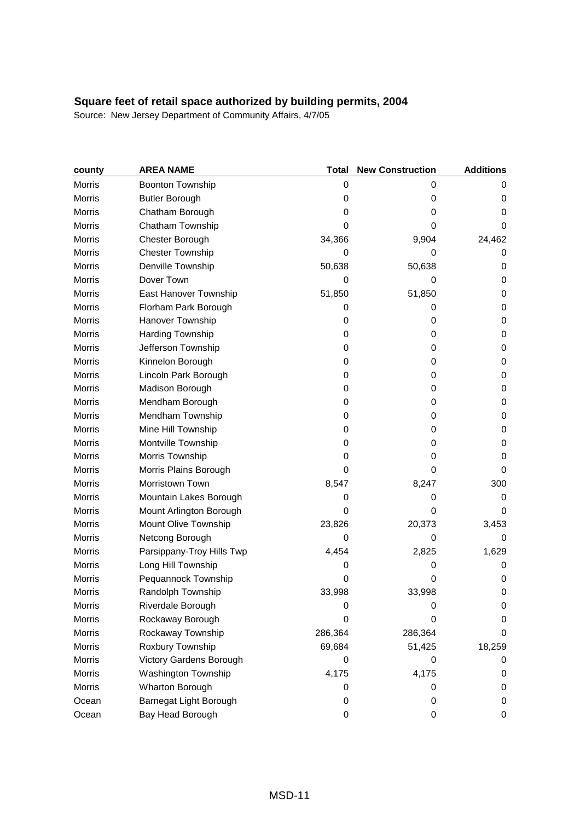| county        | <b>AREA NAME</b>          | <b>Total</b> | <b>New Construction</b> | <b>Additions</b> |
|---------------|---------------------------|--------------|-------------------------|------------------|
| Morris        | Boonton Township          | 0            | 0                       | 0                |
| Morris        | <b>Butler Borough</b>     | 0            | 0                       | 0                |
| Morris        | Chatham Borough           | 0            | 0                       | 0                |
| Morris        | Chatham Township          | 0            | 0                       | 0                |
| Morris        | Chester Borough           | 34,366       | 9,904                   | 24,462           |
| Morris        | <b>Chester Township</b>   | 0            | 0                       | 0                |
| Morris        | Denville Township         | 50,638       | 50,638                  | 0                |
| <b>Morris</b> | Dover Town                | 0            | 0                       | 0                |
| Morris        | East Hanover Township     | 51,850       | 51,850                  | 0                |
| Morris        | Florham Park Borough      | 0            | 0                       | 0                |
| Morris        | Hanover Township          | 0            | 0                       | 0                |
| Morris        | <b>Harding Township</b>   | 0            | 0                       | 0                |
| Morris        | Jefferson Township        | 0            | 0                       | 0                |
| Morris        | Kinnelon Borough          | 0            | 0                       | 0                |
| <b>Morris</b> | Lincoln Park Borough      | 0            | 0                       | 0                |
| Morris        | Madison Borough           | 0            | 0                       | 0                |
| Morris        | Mendham Borough           | 0            | 0                       | 0                |
| Morris        | Mendham Township          | 0            | 0                       | 0                |
| Morris        | Mine Hill Township        | 0            | 0                       | 0                |
| Morris        | Montville Township        | 0            | 0                       | 0                |
| Morris        | Morris Township           | 0            | 0                       | 0                |
| Morris        | Morris Plains Borough     | 0            | 0                       | 0                |
| Morris        | Morristown Town           | 8,547        | 8,247                   | 300              |
| Morris        | Mountain Lakes Borough    | 0            | 0                       | 0                |
| Morris        | Mount Arlington Borough   | 0            | 0                       | 0                |
| Morris        | Mount Olive Township      | 23,826       | 20,373                  | 3,453            |
| Morris        | Netcong Borough           | 0            | 0                       | $\mathbf 0$      |
| Morris        | Parsippany-Troy Hills Twp | 4,454        | 2,825                   | 1,629            |
| Morris        | Long Hill Township        | 0            | 0                       | 0                |
| <b>Morris</b> | Pequannock Township       | 0            | 0                       | 0                |
| Morris        | Randolph Township         | 33,998       | 33,998                  | 0                |
| Morris        | Riverdale Borough         | 0            | 0                       | 0                |
| Morris        | Rockaway Borough          | 0            | 0                       | 0                |
| Morris        | Rockaway Township         | 286,364      | 286,364                 | 0                |
| Morris        | Roxbury Township          | 69,684       | 51,425                  | 18,259           |
| Morris        | Victory Gardens Borough   | 0            | 0                       | 0                |
| Morris        | Washington Township       | 4,175        | 4,175                   | 0                |
| Morris        | Wharton Borough           | 0            | 0                       | 0                |
| Ocean         | Barnegat Light Borough    | 0            | 0                       | 0                |
| Ocean         | Bay Head Borough          | 0            | 0                       | 0                |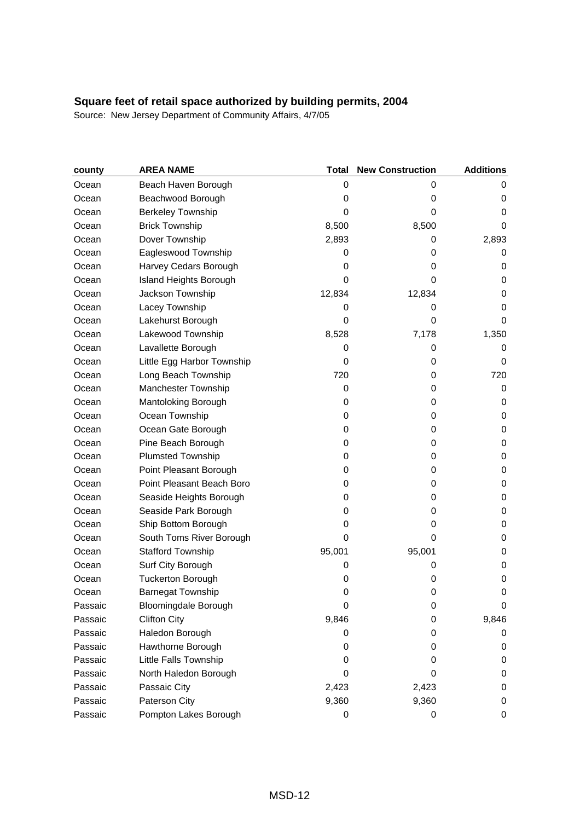| county  | <b>AREA NAME</b>            | <b>Total</b> | <b>New Construction</b> | <b>Additions</b> |
|---------|-----------------------------|--------------|-------------------------|------------------|
| Ocean   | Beach Haven Borough         | $\mathbf 0$  | 0                       | 0                |
| Ocean   | Beachwood Borough           | 0            | 0                       | 0                |
| Ocean   | <b>Berkeley Township</b>    | 0            | 0                       | 0                |
| Ocean   | <b>Brick Township</b>       | 8,500        | 8,500                   | 0                |
| Ocean   | Dover Township              | 2,893        | 0                       | 2,893            |
| Ocean   | Eagleswood Township         | 0            | 0                       | 0                |
| Ocean   | Harvey Cedars Borough       | 0            | 0                       | 0                |
| Ocean   | Island Heights Borough      | 0            | 0                       | 0                |
| Ocean   | Jackson Township            | 12,834       | 12,834                  | 0                |
| Ocean   | Lacey Township              | 0            | 0                       | 0                |
| Ocean   | Lakehurst Borough           | 0            | 0                       | 0                |
| Ocean   | Lakewood Township           | 8,528        | 7,178                   | 1,350            |
| Ocean   | Lavallette Borough          | 0            | 0                       | 0                |
| Ocean   | Little Egg Harbor Township  | 0            | 0                       | 0                |
| Ocean   | Long Beach Township         | 720          | 0                       | 720              |
| Ocean   | Manchester Township         | 0            | 0                       | 0                |
| Ocean   | Mantoloking Borough         | 0            | 0                       | 0                |
| Ocean   | Ocean Township              | 0            | 0                       | 0                |
| Ocean   | Ocean Gate Borough          | 0            | 0                       | 0                |
| Ocean   | Pine Beach Borough          | 0            | 0                       | 0                |
| Ocean   | <b>Plumsted Township</b>    | 0            | 0                       | 0                |
| Ocean   | Point Pleasant Borough      | 0            | 0                       | 0                |
| Ocean   | Point Pleasant Beach Boro   | 0            | 0                       | 0                |
| Ocean   | Seaside Heights Borough     | 0            | 0                       | 0                |
| Ocean   | Seaside Park Borough        | 0            | 0                       | 0                |
| Ocean   | Ship Bottom Borough         | 0            | 0                       | 0                |
| Ocean   | South Toms River Borough    | 0            | 0                       | 0                |
| Ocean   | <b>Stafford Township</b>    | 95,001       | 95,001                  | 0                |
| Ocean   | Surf City Borough           | 0            | 0                       | 0                |
| Ocean   | <b>Tuckerton Borough</b>    | 0            | 0                       | 0                |
| Ocean   | <b>Barnegat Township</b>    | 0            | 0                       | 0                |
| Passaic | <b>Bloomingdale Borough</b> | 0            | 0                       | 0                |
| Passaic | <b>Clifton City</b>         | 9,846        | 0                       | 9,846            |
| Passaic | Haledon Borough             | 0            | 0                       | 0                |
| Passaic | Hawthorne Borough           | 0            | 0                       | 0                |
| Passaic | Little Falls Township       | 0            | 0                       | 0                |
| Passaic | North Haledon Borough       | 0            | 0                       | 0                |
| Passaic | Passaic City                | 2,423        | 2,423                   | 0                |
| Passaic | Paterson City               | 9,360        | 9,360                   | 0                |
| Passaic | Pompton Lakes Borough       | 0            | 0                       | 0                |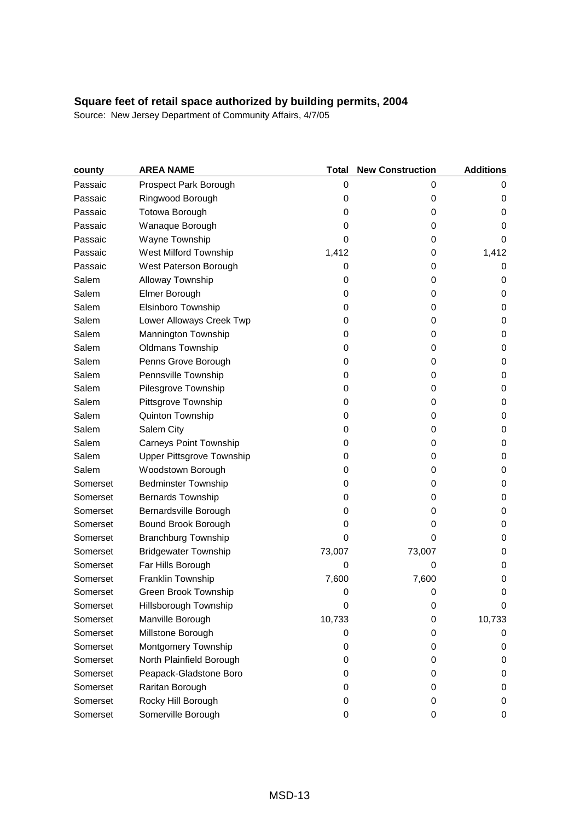| county   | <b>AREA NAME</b>              | <b>Total</b> | <b>New Construction</b> | <b>Additions</b> |
|----------|-------------------------------|--------------|-------------------------|------------------|
| Passaic  | Prospect Park Borough         | 0            | 0                       | 0                |
| Passaic  | Ringwood Borough              | 0            | 0                       | 0                |
| Passaic  | <b>Totowa Borough</b>         | 0            | 0                       | 0                |
| Passaic  | Wanaque Borough               | 0            | 0                       | 0                |
| Passaic  | Wayne Township                | 0            | 0                       | 0                |
| Passaic  | West Milford Township         | 1,412        | 0                       | 1,412            |
| Passaic  | West Paterson Borough         | 0            | 0                       | 0                |
| Salem    | Alloway Township              | 0            | 0                       | 0                |
| Salem    | Elmer Borough                 | 0            | 0                       | 0                |
| Salem    | Elsinboro Township            | 0            | 0                       | 0                |
| Salem    | Lower Alloways Creek Twp      | 0            | 0                       | 0                |
| Salem    | Mannington Township           | 0            | 0                       | 0                |
| Salem    | <b>Oldmans Township</b>       | 0            | 0                       | 0                |
| Salem    | Penns Grove Borough           | 0            | 0                       | 0                |
| Salem    | Pennsville Township           | 0            | 0                       | 0                |
| Salem    | Pilesgrove Township           | 0            | 0                       | 0                |
| Salem    | Pittsgrove Township           | 0            | 0                       | 0                |
| Salem    | Quinton Township              | 0            | 0                       | 0                |
| Salem    | Salem City                    | 0            | 0                       | 0                |
| Salem    | <b>Carneys Point Township</b> | 0            | 0                       | 0                |
| Salem    | Upper Pittsgrove Township     | 0            | 0                       | 0                |
| Salem    | Woodstown Borough             | 0            | 0                       | 0                |
| Somerset | <b>Bedminster Township</b>    | 0            | 0                       | 0                |
| Somerset | Bernards Township             | 0            | 0                       | 0                |
| Somerset | Bernardsville Borough         | 0            | 0                       | 0                |
| Somerset | Bound Brook Borough           | 0            | 0                       | 0                |
| Somerset | <b>Branchburg Township</b>    | 0            | 0                       | 0                |
| Somerset | <b>Bridgewater Township</b>   | 73,007       | 73,007                  | 0                |
| Somerset | Far Hills Borough             | 0            | 0                       | 0                |
| Somerset | Franklin Township             | 7,600        | 7,600                   | 0                |
| Somerset | Green Brook Township          | 0            | 0                       | 0                |
| Somerset | Hillsborough Township         | 0            | 0                       | 0                |
| Somerset | Manville Borough              | 10,733       | 0                       | 10,733           |
| Somerset | Millstone Borough             | 0            | 0                       | 0                |
| Somerset | Montgomery Township           | 0            | 0                       | 0                |
| Somerset | North Plainfield Borough      | 0            | 0                       | 0                |
| Somerset | Peapack-Gladstone Boro        | 0            | 0                       | 0                |
| Somerset | Raritan Borough               | 0            | 0                       | 0                |
| Somerset | Rocky Hill Borough            | 0            | 0                       | 0                |
| Somerset | Somerville Borough            | 0            | 0                       | 0                |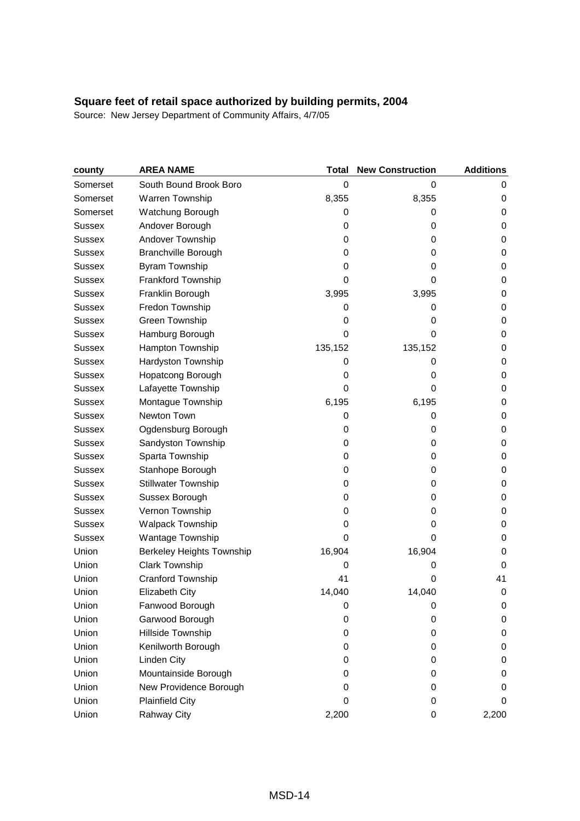| county        | <b>AREA NAME</b>           | <b>Total</b> | <b>New Construction</b> | <b>Additions</b> |
|---------------|----------------------------|--------------|-------------------------|------------------|
| Somerset      | South Bound Brook Boro     | $\mathbf 0$  | 0                       | 0                |
| Somerset      | Warren Township            | 8,355        | 8,355                   | 0                |
| Somerset      | Watchung Borough           | 0            | 0                       | 0                |
| <b>Sussex</b> | Andover Borough            | 0            | 0                       | 0                |
| <b>Sussex</b> | Andover Township           | 0            | 0                       | 0                |
| <b>Sussex</b> | <b>Branchville Borough</b> | 0            | 0                       | 0                |
| Sussex        | <b>Byram Township</b>      | 0            | 0                       | 0                |
| Sussex        | Frankford Township         | 0            | 0                       | 0                |
| <b>Sussex</b> | Franklin Borough           | 3,995        | 3,995                   | 0                |
| <b>Sussex</b> | Fredon Township            | 0            | 0                       | 0                |
| Sussex        | Green Township             | 0            | 0                       | 0                |
| <b>Sussex</b> | Hamburg Borough            | 0            | 0                       | 0                |
| <b>Sussex</b> | Hampton Township           | 135,152      | 135,152                 | 0                |
| Sussex        | Hardyston Township         | 0            | 0                       | 0                |
| <b>Sussex</b> | Hopatcong Borough          | 0            | 0                       | 0                |
| <b>Sussex</b> | Lafayette Township         | 0            | 0                       | 0                |
| <b>Sussex</b> | Montague Township          | 6,195        | 6,195                   | 0                |
| Sussex        | Newton Town                | 0            | 0                       | 0                |
| <b>Sussex</b> | Ogdensburg Borough         | 0            | 0                       | 0                |
| <b>Sussex</b> | Sandyston Township         | 0            | 0                       | 0                |
| Sussex        | Sparta Township            | 0            | 0                       | 0                |
| <b>Sussex</b> | Stanhope Borough           | 0            | 0                       | 0                |
| Sussex        | <b>Stillwater Township</b> | 0            | 0                       | 0                |
| Sussex        | Sussex Borough             | 0            | 0                       | 0                |
| Sussex        | Vernon Township            | 0            | 0                       | 0                |
| <b>Sussex</b> | Walpack Township           | 0            | 0                       | 0                |
| Sussex        | Wantage Township           | 0            | 0                       | 0                |
| Union         | Berkeley Heights Township  | 16,904       | 16,904                  | 0                |
| Union         | <b>Clark Township</b>      | 0            | 0                       | $\mathbf 0$      |
| Union         | Cranford Township          | 41           | 0                       | 41               |
| Union         | <b>Elizabeth City</b>      | 14,040       | 14,040                  | 0                |
| Union         | Fanwood Borough            | 0            | 0                       | 0                |
| Union         | Garwood Borough            | 0            | 0                       | 0                |
| Union         | Hillside Township          | 0            | 0                       | 0                |
| Union         | Kenilworth Borough         | 0            | 0                       | 0                |
| Union         | <b>Linden City</b>         | 0            | 0                       | 0                |
| Union         | Mountainside Borough       | 0            | 0                       | 0                |
| Union         | New Providence Borough     | 0            | 0                       | 0                |
| Union         | <b>Plainfield City</b>     | 0            | 0                       | 0                |
| Union         | <b>Rahway City</b>         | 2,200        | 0                       | 2,200            |